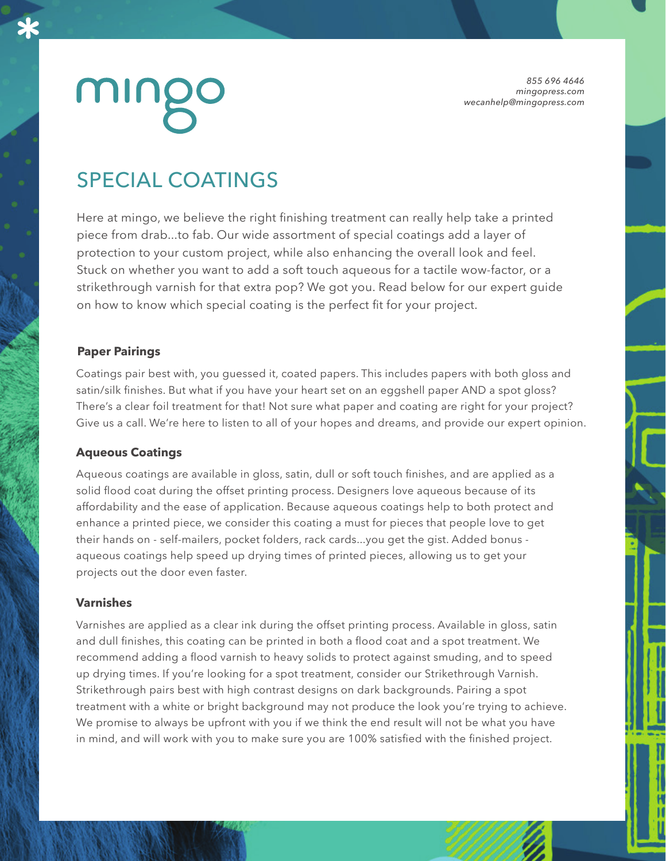*855 696 4646 mingopress.com wecanhelp@mingopress.com*

## SPECIAL COATINGS

Here at mingo, we believe the right finishing treatment can really help take a printed piece from drab...to fab. Our wide assortment of special coatings add a layer of protection to your custom project, while also enhancing the overall look and feel. Stuck on whether you want to add a soft touch aqueous for a tactile wow-factor, or a strikethrough varnish for that extra pop? We got you. Read below for our expert guide on how to know which special coating is the perfect fit for your project.

### **Paper Pairings**

Coatings pair best with, you guessed it, coated papers. This includes papers with both gloss and satin/silk finishes. But what if you have your heart set on an eggshell paper AND a spot gloss? There's a clear foil treatment for that! Not sure what paper and coating are right for your project? Give us a call. We're here to listen to all of your hopes and dreams, and provide our expert opinion.

#### **Aqueous Coatings**

Aqueous coatings are available in gloss, satin, dull or soft touch finishes, and are applied as a solid flood coat during the offset printing process. Designers love aqueous because of its affordability and the ease of application. Because aqueous coatings help to both protect and enhance a printed piece, we consider this coating a must for pieces that people love to get their hands on - self-mailers, pocket folders, rack cards...you get the gist. Added bonus aqueous coatings help speed up drying times of printed pieces, allowing us to get your projects out the door even faster.

#### **Varnishes**

Varnishes are applied as a clear ink during the offset printing process. Available in gloss, satin and dull finishes, this coating can be printed in both a flood coat and a spot treatment. We recommend adding a flood varnish to heavy solids to protect against smuding, and to speed up drying times. If you're looking for a spot treatment, consider our Strikethrough Varnish. Strikethrough pairs best with high contrast designs on dark backgrounds. Pairing a spot treatment with a white or bright background may not produce the look you're trying to achieve. We promise to always be upfront with you if we think the end result will not be what you have in mind, and will work with you to make sure you are 100% satisfied with the finished project.